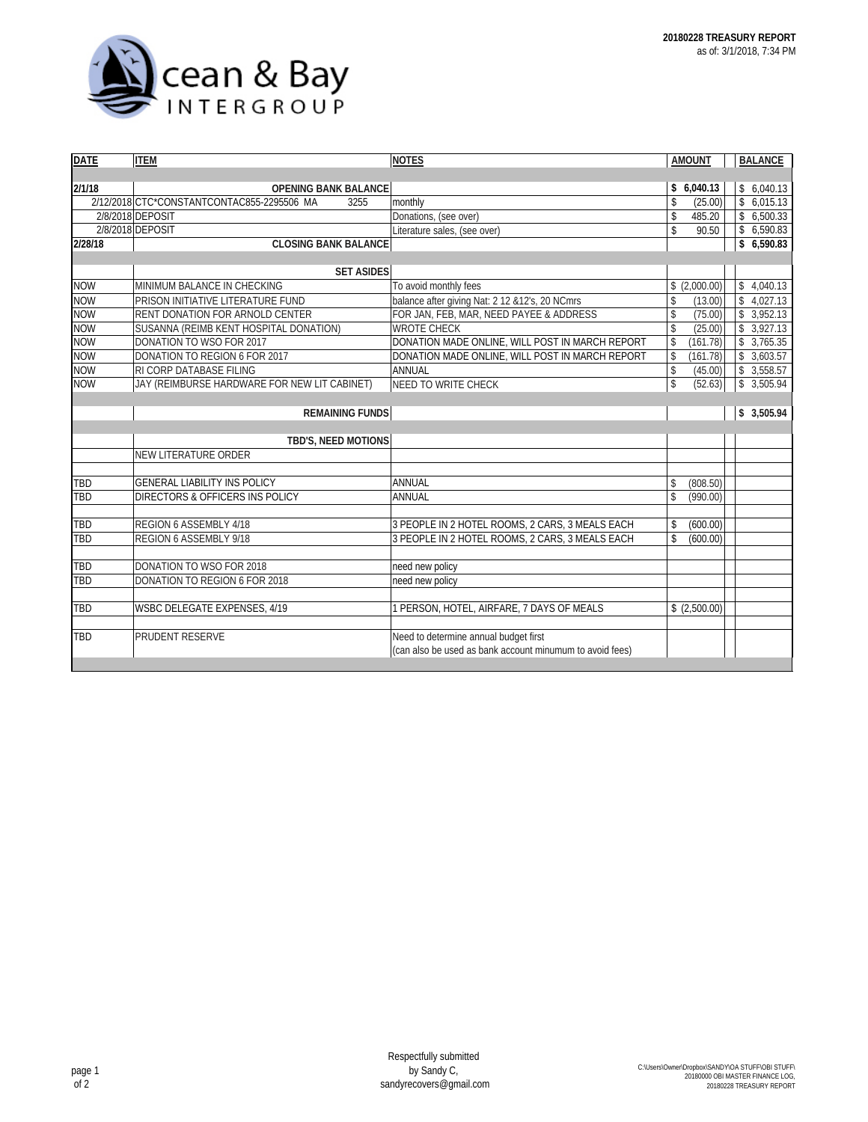

| <b>DATE</b> | <b>ITEM</b>                                        | <b>NOTES</b>                                             | <b>AMOUNT</b> |              |  | <b>BALANCE</b> |
|-------------|----------------------------------------------------|----------------------------------------------------------|---------------|--------------|--|----------------|
|             |                                                    |                                                          |               |              |  |                |
| 2/1/18      | <b>OPENING BANK BALANCE</b>                        |                                                          |               | \$6,040.13   |  | \$6,040.13     |
|             | 2/12/2018 CTC*CONSTANTCONTAC855-2295506 MA<br>3255 | monthly                                                  | \$            | (25.00)      |  | \$6,015.13     |
|             | 2/8/2018 DEPOSIT                                   | Donations, (see over)                                    | \$            | 485.20       |  | \$6,500.33     |
|             | 2/8/2018 DEPOSIT                                   | Literature sales, (see over)                             | \$            | 90.50        |  | \$6,590.83     |
| 2/28/18     | <b>CLOSING BANK BALANCE</b>                        |                                                          |               |              |  | \$6,590.83     |
|             |                                                    |                                                          |               |              |  |                |
|             | <b>SET ASIDES</b>                                  |                                                          |               |              |  |                |
| <b>NOW</b>  | MINIMUM BALANCE IN CHECKING                        | To avoid monthly fees                                    |               | \$(2,000.00) |  | \$4,040.13     |
| <b>NOW</b>  | PRISON INITIATIVE LITERATURE FUND                  | balance after giving Nat: 2 12 & 12's, 20 NCmrs          | \$            | (13.00)      |  | \$4,027.13     |
| <b>NOW</b>  | RENT DONATION FOR ARNOLD CENTER                    | FOR JAN, FEB, MAR, NEED PAYEE & ADDRESS                  | $\mathbb S$   | (75.00)      |  | \$3,952.13     |
| <b>NOW</b>  | SUSANNA (REIMB KENT HOSPITAL DONATION)             | <b>WROTE CHECK</b>                                       | \$            | (25.00)      |  | \$3,927.13     |
| <b>NOW</b>  | DONATION TO WSO FOR 2017                           | DONATION MADE ONLINE, WILL POST IN MARCH REPORT          | \$            | (161.78)     |  | \$3,765.35     |
| <b>NOW</b>  | DONATION TO REGION 6 FOR 2017                      | DONATION MADE ONLINE, WILL POST IN MARCH REPORT          | \$            | (161.78)     |  | \$3,603.57     |
| <b>NOW</b>  | RI CORP DATABASE FILING                            | ANNUAL                                                   | \$            | (45.00)      |  | \$3,558.57     |
| <b>NOW</b>  | JAY (REIMBURSE HARDWARE FOR NEW LIT CABINET)       | <b>NEED TO WRITE CHECK</b>                               | \$            | (52.63)      |  | \$3,505.94     |
|             |                                                    |                                                          |               |              |  |                |
|             | <b>REMAINING FUNDS</b>                             |                                                          |               |              |  | \$3,505.94     |
|             |                                                    |                                                          |               |              |  |                |
|             | TBD'S, NEED MOTIONS                                |                                                          |               |              |  |                |
|             | <b>NEW LITERATURE ORDER</b>                        |                                                          |               |              |  |                |
|             |                                                    |                                                          |               |              |  |                |
| TBD         | <b>GENERAL LIABILITY INS POLICY</b>                | ANNUAL                                                   | \$            | (808.50)     |  |                |
| <b>TBD</b>  | DIRECTORS & OFFICERS INS POLICY                    | ANNUAL                                                   | \$            | (990.00)     |  |                |
|             |                                                    |                                                          |               |              |  |                |
| TBD         | REGION 6 ASSEMBLY 4/18                             | 3 PEOPLE IN 2 HOTEL ROOMS, 2 CARS, 3 MEALS EACH          | \$            | (600.00)     |  |                |
| TBD         | REGION 6 ASSEMBLY 9/18                             | 3 PEOPLE IN 2 HOTEL ROOMS, 2 CARS, 3 MEALS EACH          | \$            | (600.00)     |  |                |
| TBD         | DONATION TO WSO FOR 2018                           | need new policy                                          |               |              |  |                |
| TBD         | DONATION TO REGION 6 FOR 2018                      | need new policy                                          |               |              |  |                |
|             |                                                    |                                                          |               |              |  |                |
| TBD         | WSBC DELEGATE EXPENSES, 4/19                       | PERSON, HOTEL, AIRFARE, 7 DAYS OF MEALS                  |               | \$(2,500.00) |  |                |
|             |                                                    |                                                          |               |              |  |                |
| <b>TBD</b>  | PRUDENT RESERVE                                    | Need to determine annual budget first                    |               |              |  |                |
|             |                                                    | (can also be used as bank account minumum to avoid fees) |               |              |  |                |
|             |                                                    |                                                          |               |              |  |                |